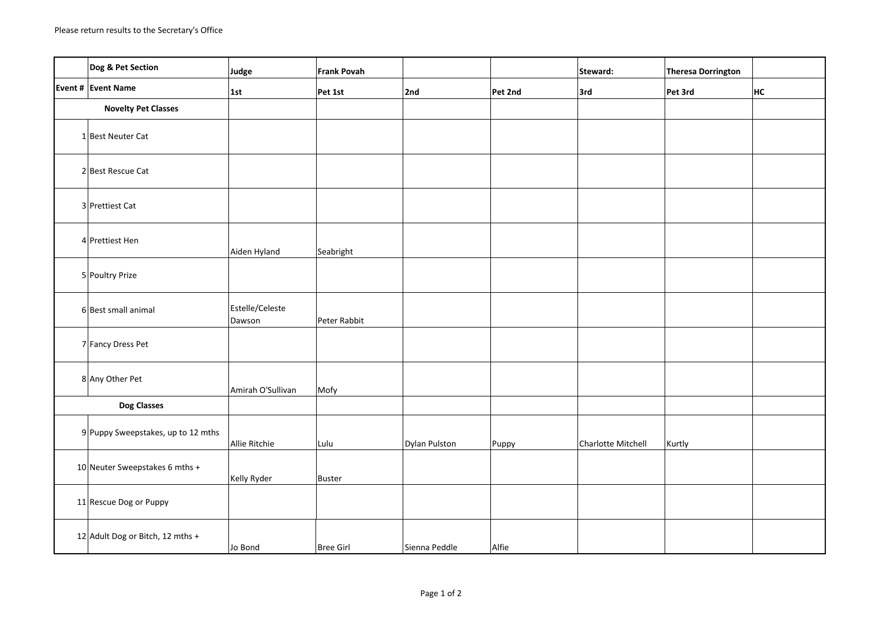|                            | Dog & Pet Section                    | Judge                     | Frank Povah      |               |         | Steward:           | <b>Theresa Dorrington</b> |    |
|----------------------------|--------------------------------------|---------------------------|------------------|---------------|---------|--------------------|---------------------------|----|
|                            | Event # Event Name                   | 1st                       | Pet 1st          | 2nd           | Pet 2nd | 3rd                | Pet 3rd                   | HC |
| <b>Novelty Pet Classes</b> |                                      |                           |                  |               |         |                    |                           |    |
|                            | 1 Best Neuter Cat                    |                           |                  |               |         |                    |                           |    |
|                            | 2 Best Rescue Cat                    |                           |                  |               |         |                    |                           |    |
|                            | 3 Prettiest Cat                      |                           |                  |               |         |                    |                           |    |
|                            | 4 Prettiest Hen                      | Aiden Hyland              | Seabright        |               |         |                    |                           |    |
|                            | 5 Poultry Prize                      |                           |                  |               |         |                    |                           |    |
|                            | 6 Best small animal                  | Estelle/Celeste<br>Dawson | Peter Rabbit     |               |         |                    |                           |    |
|                            | 7 Fancy Dress Pet                    |                           |                  |               |         |                    |                           |    |
|                            | 8 Any Other Pet                      | Amirah O'Sullivan         | Mofy             |               |         |                    |                           |    |
| <b>Dog Classes</b>         |                                      |                           |                  |               |         |                    |                           |    |
|                            | $9$ Puppy Sweepstakes, up to 12 mths | Allie Ritchie             | Lulu             | Dylan Pulston | Puppy   | Charlotte Mitchell | Kurtly                    |    |
|                            | 10 Neuter Sweepstakes 6 mths +       | Kelly Ryder               | Buster           |               |         |                    |                           |    |
|                            | 11 Rescue Dog or Puppy               |                           |                  |               |         |                    |                           |    |
|                            | 12 Adult Dog or Bitch, 12 mths +     | Jo Bond                   | <b>Bree Girl</b> | Sienna Peddle | Alfie   |                    |                           |    |